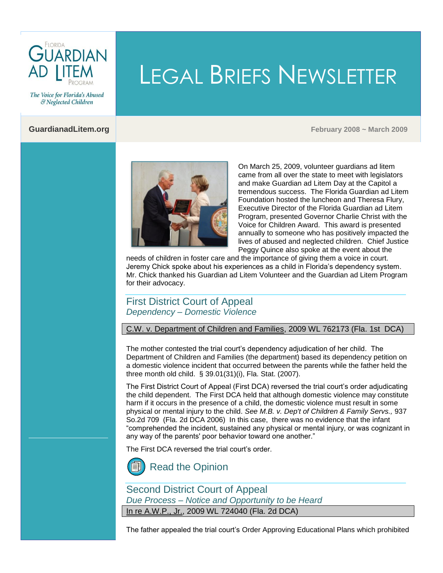

LEGAL BRIEFS NEWSLETTER

& Neglected Children

The Voice for Florida's Abused

**GuardianadLitem.org February 2008 ~ March 2009**



On March 25, 2009, volunteer guardians ad litem came from all over the state to meet with legislators and make Guardian ad Litem Day at the Capitol a tremendous success. The Florida Guardian ad Litem Foundation hosted the luncheon and Theresa Flury, Executive Director of the Florida Guardian ad Litem Program, presented Governor Charlie Christ with the Voice for Children Award. This award is presented annually to someone who has positively impacted the lives of abused and neglected children. Chief Justice Peggy Quince also spoke at the event about the

needs of children in foster care and the importance of giving them a voice in court. Jeremy Chick spoke about his experiences as a child in Florida's dependency system. Mr. Chick thanked his Guardian ad Litem Volunteer and the Guardian ad Litem Program for their advocacy.

# First District Court of Appeal *Dependency – Domestic Violence*

C.W. v. Department of Children and Families, 2009 WL 762173 (Fla. 1st DCA)

The mother contested the trial court's dependency adjudication of her child. The Department of Children and Families (the department) based its dependency petition on a domestic violence incident that occurred between the parents while the father held the three month old child. [§ 39.01\(31\)\(i\), Fla. Stat. \(2007\).](http://www.leg.state.fl.us/Statutes/index.cfm?App_mode=Display_Statute&Search_String=&URL=Ch0039/SEC01.HTM&Title=->2007->Ch0039->Section%2001#0039.01)

The First District Court of Appeal (First DCA) reversed the trial court's order adjudicating the child dependent. The First DCA held that although domestic violence may constitute harm if it occurs in the presence of a child, the domestic violence must result in some physical or mental injury to the child. *See M.B. v. Dep't of Children & Family Servs.,* 937 So.2d 709 (Fla. 2d DCA 2006) In this case, there was no evidence that the infant "comprehended the incident, sustained any physical or mental injury, or was cognizant in any way of the parents' poor behavior toward one another."

The First DCA reversed the trial court's order.



Second District Court of Appeal *Due Process – Notice and Opportunity to be Heard* In re A.W.P., Jr., 2009 WL 724040 (Fla. 2d DCA)

The father appealed the trial court's Order Approving Educational Plans which prohibited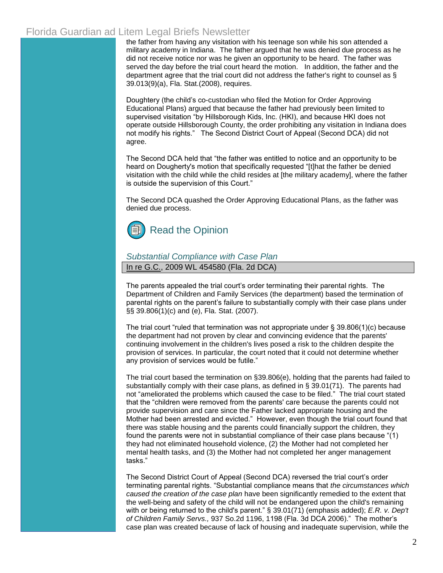the father from having any visitation with his teenage son while his son attended a military academy in Indiana. The father argued that he was denied due process as he did not receive notice nor was he given an opportunity to be heard. The father was served the day before the trial court heard the motion. In addition, the father and the department agree that the trial court did not address the father's right to counsel a[s §](http://www.leg.state.fl.us/Statutes/index.cfm?App_mode=Display_Statute&Search_String=&URL=Ch0039/SEC013.HTM&Title=->2008->Ch0039->Section%20013#0039.013)  [39.013\(9\)\(a\), Fla. Stat.\(2008\),](http://www.leg.state.fl.us/Statutes/index.cfm?App_mode=Display_Statute&Search_String=&URL=Ch0039/SEC013.HTM&Title=->2008->Ch0039->Section%20013#0039.013) requires.

Doughtery (the child's co-custodian who filed the Motion for Order Approving Educational Plans) argued that because the father had previously been limited to supervised visitation "by Hillsborough Kids, Inc. (HKI), and because HKI does not operate outside Hillsborough County, the order prohibiting any visitation in Indiana does not modify his rights." The Second District Court of Appeal (Second DCA) did not agree.

The Second DCA held that "the father was entitled to notice and an opportunity to be heard on Dougherty's motion that specifically requested "[t]hat the father be denied visitation with the child while the child resides at [the military academy], where the father is outside the supervision of this Court."

The Second DCA quashed the Order Approving Educational Plans, as the father was denied due process.



#### *Substantial Compliance with Case Plan* In re G.C., 2009 WL 454580 (Fla. 2d DCA)

The parents appealed the trial court's order terminating their parental rights. The Department of Children and Family Services (the department) based the termination of parental rights on the parent's failure to substantially comply with their case plans under §§ 39.806(1)(c) and (e), Fla. Stat. (2007).

The trial court "ruled that termination was not appropriate unde[r § 39.806\(1\)\(c\) b](http://www.leg.state.fl.us/Statutes/index.cfm?App_mode=Display_Statute&Search_String=&URL=Ch0039/SEC806.HTM&Title=->2008->Ch0039->Section%20806#0039.806)ecause the department had not proven by clear and convincing evidence that the parents' continuing involvement in the children's lives posed a risk to the children despite the provision of services. In particular, the court noted that it could not determine whether any provision of services would be futile."

The trial court based the termination on [§39.806\(e\), h](http://www.leg.state.fl.us/Statutes/index.cfm?App_mode=Display_Statute&Search_String=&URL=Ch0039/SEC806.HTM&Title=->2008->Ch0039->Section%20806#0039.806)olding that the parents had failed to substantially comply with their case plans, as defined in  $\S$  39.01(71). The parents had not "ameliorated the problems which caused the case to be filed." The trial court stated that the "children were removed from the parents' care because the parents could not provide supervision and care since the Father lacked appropriate housing and the Mother had been arrested and evicted." However, even though the trial court found that there was stable housing and the parents could financially support the children, they found the parents were not in substantial compliance of their case plans because "(1) they had not eliminated household violence, (2) the Mother had not completed her mental health tasks, and (3) the Mother had not completed her anger management tasks."

The Second District Court of Appeal (Second DCA) reversed the trial court's order terminating parental rights. "Substantial compliance means that *the circumstances which caused the creation of the case plan* have been significantly remedied to the extent that the well-being and safety of the child will not be endangered upon the child's remaining with or being returned to the child's parent.[" § 39.01\(71\) \(emphasis added\);](http://www.leg.state.fl.us/Statutes/index.cfm?App_mode=Display_Statute&Search_String=&URL=Ch0039/SEC01.HTM&Title=->2008->Ch0039->Section%2001#0039.01) *E.R. v. Dep't of Children Family Servs.,* 937 So.2d 1196, 1198 (Fla. 3d DCA 2006)." The mother's case plan was created because of lack of housing and inadequate supervision, while the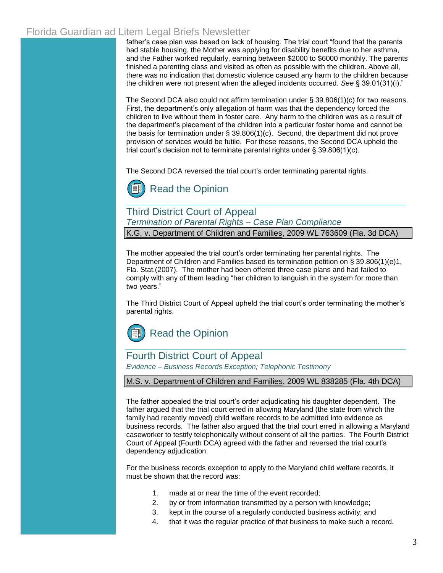father's case plan was based on lack of housing. The trial court "found that the parents had stable housing, the Mother was applying for disability benefits due to her asthma, and the Father worked regularly, earning between \$2000 to \$6000 monthly. The parents finished a parenting class and visited as often as possible with the children. Above all, there was no indication that domestic violence caused any harm to the children because the children were not present when the alleged incidents occurred. *See* [§ 39.01\(31\)\(i\)."](http://www.leg.state.fl.us/Statutes/index.cfm?App_mode=Display_Statute&Search_String=&URL=Ch0039/SEC01.HTM&Title=->2008->Ch0039->Section%2001#0039.01)

The Second DCA also could not affirm termination under  $\S$  39.806(1)(c) for two reasons. First, the department's only allegation of harm was that the dependency forced the children to live without them in foster care. Any harm to the children was as a result of the department's placement of the children into a particular foster home and cannot be the basis for termination under [§ 39.806\(1\)\(c\).](http://www.leg.state.fl.us/Statutes/index.cfm?App_mode=Display_Statute&Search_String=&URL=Ch0039/SEC806.HTM&Title=->2008->Ch0039->Section%20806#0039.806) Second, the department did not prove provision of services would be futile. For these reasons, the Second DCA upheld the trial court's decision not to terminate parental rights under [§ 39.806\(1\)\(c\).](http://www.leg.state.fl.us/Statutes/index.cfm?App_mode=Display_Statute&Search_String=&URL=Ch0039/SEC806.HTM&Title=->2008->Ch0039->Section%20806#0039.806)

The Second DCA reversed the trial court's order terminating parental rights.



## Third District Court of Appeal *Termination of Parental Rights – Case Plan Compliance* K.G. v. Department of Children and Families, 2009 WL 763609 (Fla. 3d DCA)

The mother appealed the trial court's order terminating her parental rights. The Department of Children and Families based its termination petition on [§ 39.806\(1\)\(e\)1,](http://www.leg.state.fl.us/Statutes/index.cfm?App_mode=Display_Statute&Search_String=&URL=Ch0039/SEC806.HTM&Title=->2008->Ch0039->Section%20806#0039.806)  [Fla. Stat.\(2007\).](http://www.leg.state.fl.us/Statutes/index.cfm?App_mode=Display_Statute&Search_String=&URL=Ch0039/SEC806.HTM&Title=->2008->Ch0039->Section%20806#0039.806) The mother had been offered three case plans and had failed to comply with any of them leading "her children to languish in the system for more than two years."

The Third District Court of Appeal upheld the trial court's order terminating the mother's parental rights.



## Fourth District Court of Appeal

*Evidence – Business Records Exception; Telephonic Testimony*

#### M.S. v. Department of Children and Families, 2009 WL 838285 (Fla. 4th DCA)

The father appealed the trial court's order adjudicating his daughter dependent. The father argued that the trial court erred in allowing Maryland (the state from which the family had recently moved) child welfare records to be admitted into evidence as business records. The father also argued that the trial court erred in allowing a Maryland caseworker to testify telephonically without consent of all the parties. The Fourth District Court of Appeal (Fourth DCA) agreed with the father and reversed the trial court's dependency adjudication.

For the business records exception to apply to the Maryland child welfare records, it must be shown that the record was:

- 1. made at or near the time of the event recorded;
- 2. by or from information transmitted by a person with knowledge;
- 3. kept in the course of a regularly conducted business activity; and
- 4. that it was the regular practice of that business to make such a record.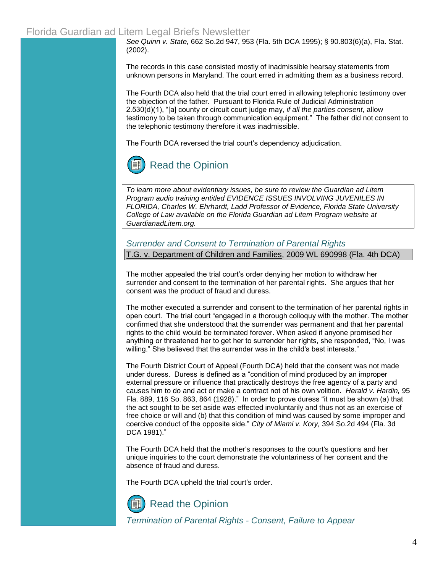*See Quinn v. State,* 662 So.2d 947, 953 (Fla. 5th DCA 1995); [§ 90.803\(6\)\(a\), Fla. Stat.](http://www.leg.state.fl.us/Statutes/index.cfm?App_mode=Display_Statute&Search_String=&URL=Ch0090/SEC803.HTM&Title=->2002->Ch0090->Section%20803#0090.803)  [\(2002\).](http://www.leg.state.fl.us/Statutes/index.cfm?App_mode=Display_Statute&Search_String=&URL=Ch0090/SEC803.HTM&Title=->2002->Ch0090->Section%20803#0090.803)

The records in this case consisted mostly of inadmissible hearsay statements from unknown persons in Maryland. The court erred in admitting them as a business record.

The Fourth DCA also held that the trial court erred in allowing telephonic testimony over the objection of the father. Pursuant to [Florida Rule of Judicial Administration](http://www.floridabar.org/TFB/TFBResources.nsf/Attachments/F854D695BA7136B085257316005E7DE7/$FILE/Judicial.pdf?OpenElement)  [2.530\(d\)\(1\), "\[](http://www.floridabar.org/TFB/TFBResources.nsf/Attachments/F854D695BA7136B085257316005E7DE7/$FILE/Judicial.pdf?OpenElement)a] county or circuit court judge may, *if all the parties consent*, allow testimony to be taken through communication equipment." The father did not consent to the telephonic testimony therefore it was inadmissible.

The Fourth DCA reversed the trial court's dependency adjudication.



*To learn more about evidentiary issues, be sure to review the Guardian ad Litem Program audio training entitled [EVIDENCE ISSUES INVOLVING JUVENILES IN](http://www.guardianadlitem.org/ConferencesandTrainingArchive2006.asp)  [FLORIDA, Charles W. Ehrhardt, Ladd Professor of Evidence, Florida State University](http://www.guardianadlitem.org/ConferencesandTrainingArchive2006.asp)  College of Law available on the Florida Guardian ad Litem Program website at [GuardianadLitem.org.](http://www.guardianadlitem.org/index.asp)*

*Surrender and Consent to Termination of Parental Rights* T.G. v. Department of Children and Families, 2009 WL 690998 (Fla. 4th DCA)

The mother appealed the trial court's order denying her motion to withdraw her surrender and consent to the termination of her parental rights. She argues that her consent was the product of fraud and duress.

The mother executed a surrender and consent to the termination of her parental rights in open court. The trial court "engaged in a thorough colloquy with the mother. The mother confirmed that she understood that the surrender was permanent and that her parental rights to the child would be terminated forever. When asked if anyone promised her anything or threatened her to get her to surrender her rights, she responded, "No, I was willing." She believed that the surrender was in the child's best interests."

The Fourth District Court of Appeal (Fourth DCA) held that the consent was not made under duress. Duress is defined as a "condition of mind produced by an improper external pressure or influence that practically destroys the free agency of a party and causes him to do and act or make a contract not of his own volition. *Herald v. Hardin,* 95 Fla. 889, 116 So. 863, 864 (1928)." In order to prove duress "it must be shown (a) that the act sought to be set aside was effected involuntarily and thus not as an exercise of free choice or will and (b) that this condition of mind was caused by some improper and coercive conduct of the opposite side." *City of Miami v. Kory,* 394 So.2d 494 (Fla. 3d DCA 1981)."

The Fourth DCA held that the mother's responses to the court's questions and her unique inquiries to the court demonstrate the voluntariness of her consent and the absence of fraud and duress.

The Fourth DCA upheld the trial court's order.

[Read the Opinion](http://www.4dca.org/opinions/Mar2009/03-18-09/4D08-4928.op.pdf)

*Termination of Parental Rights - Consent, Failure to Appear*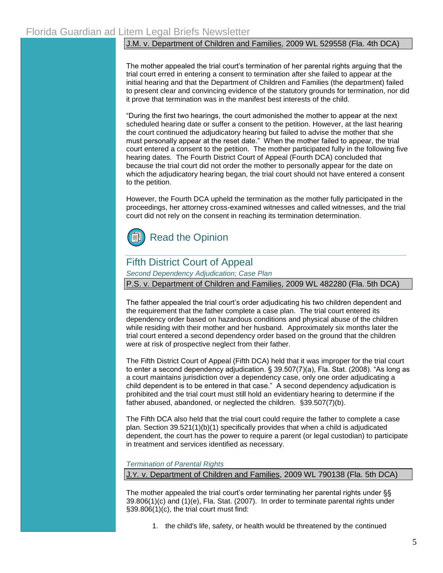### J.M. v. Department of Children and Families, 2009 WL 529558 (Fla. 4th DCA)

The mother appealed the trial court's termination of her parental rights arguing that the trial court erred in entering a consent to termination after she failed to appear at the initial hearing and that the Department of Children and Families (the department) failed to present clear and convincing evidence of the statutory grounds for termination, nor did it prove that termination was in the manifest best interests of the child.

"During the first two hearings, the court admonished the mother to appear at the next scheduled hearing date or suffer a consent to the petition. However, at the last hearing the court continued the adjudicatory hearing but failed to advise the mother that she must personally appear at the reset date." When the mother failed to appear, the trial court entered a consent to the petition. The mother participated fully in the following five hearing dates. The Fourth District Court of Appeal (Fourth DCA) concluded that because the trial court did not order the mother to personally appear for the date on which the adjudicatory hearing began, the trial court should not have entered a consent to the petition.

However, the Fourth DCA upheld the termination as the mother fully participated in the proceedings, her attorney cross-examined witnesses and called witnesses, and the trial court did not rely on the consent in reaching its termination determination.



# Fifth District Court of Appeal

*Second Dependency Adjudication; Case Plan*

P.S. v. Department of Children and Families, 2009 WL 482280 (Fla. 5th DCA)

The father appealed the trial court's order adjudicating his two children dependent and the requirement that the father complete a case plan. The trial court entered its dependency order based on hazardous conditions and physical abuse of the children while residing with their mother and her husband. Approximately six months later the trial court entered a second dependency order based on the ground that the children were at risk of prospective neglect from their father.

The Fifth District Court of Appeal (Fifth DCA) held that it was improper for the trial court to enter a second dependency adjudication. [§ 39.507\(7\)\(a\), Fla. Stat. \(2008\).](http://www.leg.state.fl.us/Statutes/index.cfm?App_mode=Display_Statute&Search_String=&URL=Ch0039/SEC507.HTM&Title=->2007->Ch0039->Section%20507#0039.507) "As long as a court maintains jurisdiction over a dependency case, only one order adjudicating a child dependent is to be entered in that case." A second dependency adjudication is prohibited and the trial court must still hold an evidentiary hearing to determine if the father abused, abandoned, or neglected the children. [§39.507\(7\)\(b\).](http://www.leg.state.fl.us/Statutes/index.cfm?App_mode=Display_Statute&Search_String=&URL=Ch0039/SEC507.HTM&Title=->2007->Ch0039->Section%20507#0039.507)

The Fifth DCA also held that the trial court could require the father to complete a case plan[. Section 39.521\(1\)\(b\)\(1\) s](http://www.leg.state.fl.us/Statutes/index.cfm?App_mode=Display_Statute&Search_String=&URL=Ch0039/SEC521.HTM&Title=->2007->Ch0039->Section%20521#0039.521)pecifically provides that when a child is adjudicated dependent, the court has the power to require a parent (or legal custodian) to participate in treatment and services identified as necessary.

*Termination of Parental Rights*

J*.*Y*.* v. Department of Children and Families, 2009 WL 790138 (Fla. 5th DCA)

The mother appealed the trial court's order terminating her parental rights under §§ [39.806\(1\)\(c\) and \(1\)\(e\), Fla. Stat. \(2007\).](http://www.leg.state.fl.us/Statutes/index.cfm?App_mode=Display_Statute&Search_String=&URL=Ch0039/SEC806.HTM&Title=->2008->Ch0039->Section%20806#0039.806) In order to terminate parental rights under  $§39.806(1)(c)$ , the trial court must find:

1. the child's life, safety, or health would be threatened by the continued